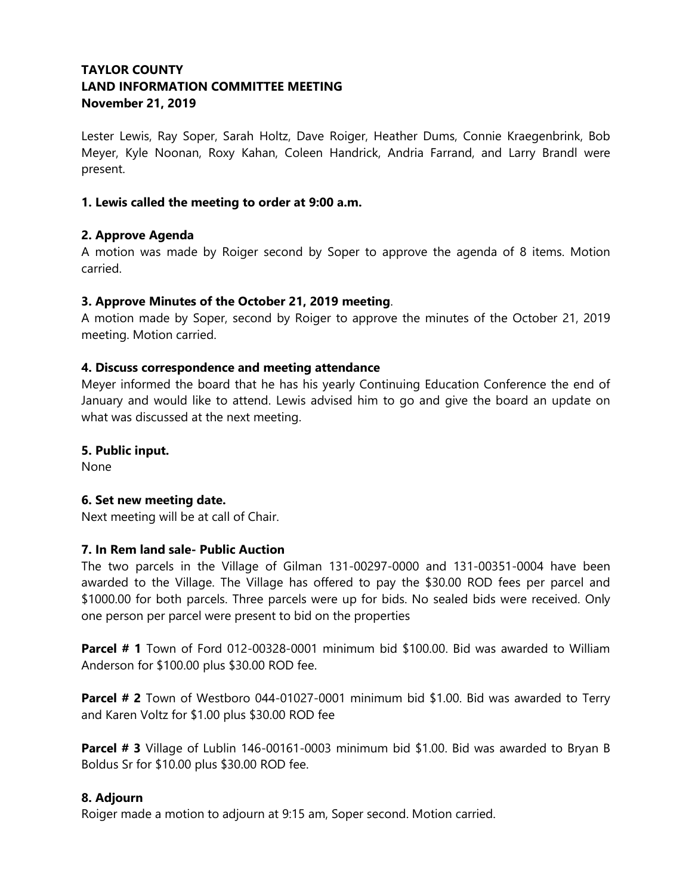# **TAYLOR COUNTY LAND INFORMATION COMMITTEE MEETING November 21, 2019**

Lester Lewis, Ray Soper, Sarah Holtz, Dave Roiger, Heather Dums, Connie Kraegenbrink, Bob Meyer, Kyle Noonan, Roxy Kahan, Coleen Handrick, Andria Farrand, and Larry Brandl were present.

## **1. Lewis called the meeting to order at 9:00 a.m.**

## **2. Approve Agenda**

A motion was made by Roiger second by Soper to approve the agenda of 8 items. Motion carried.

## **3. Approve Minutes of the October 21, 2019 meeting**.

A motion made by Soper, second by Roiger to approve the minutes of the October 21, 2019 meeting. Motion carried.

## **4. Discuss correspondence and meeting attendance**

Meyer informed the board that he has his yearly Continuing Education Conference the end of January and would like to attend. Lewis advised him to go and give the board an update on what was discussed at the next meeting.

## **5. Public input.**

None

## **6. Set new meeting date.**

Next meeting will be at call of Chair.

## **7. In Rem land sale- Public Auction**

The two parcels in the Village of Gilman 131-00297-0000 and 131-00351-0004 have been awarded to the Village. The Village has offered to pay the \$30.00 ROD fees per parcel and \$1000.00 for both parcels. Three parcels were up for bids. No sealed bids were received. Only one person per parcel were present to bid on the properties

**Parcel # 1** Town of Ford 012-00328-0001 minimum bid \$100.00. Bid was awarded to William Anderson for \$100.00 plus \$30.00 ROD fee.

**Parcel # 2** Town of Westboro 044-01027-0001 minimum bid \$1.00. Bid was awarded to Terry and Karen Voltz for \$1.00 plus \$30.00 ROD fee

**Parcel # 3** Village of Lublin 146-00161-0003 minimum bid \$1.00. Bid was awarded to Bryan B Boldus Sr for \$10.00 plus \$30.00 ROD fee.

# **8. Adjourn**

Roiger made a motion to adjourn at 9:15 am, Soper second. Motion carried.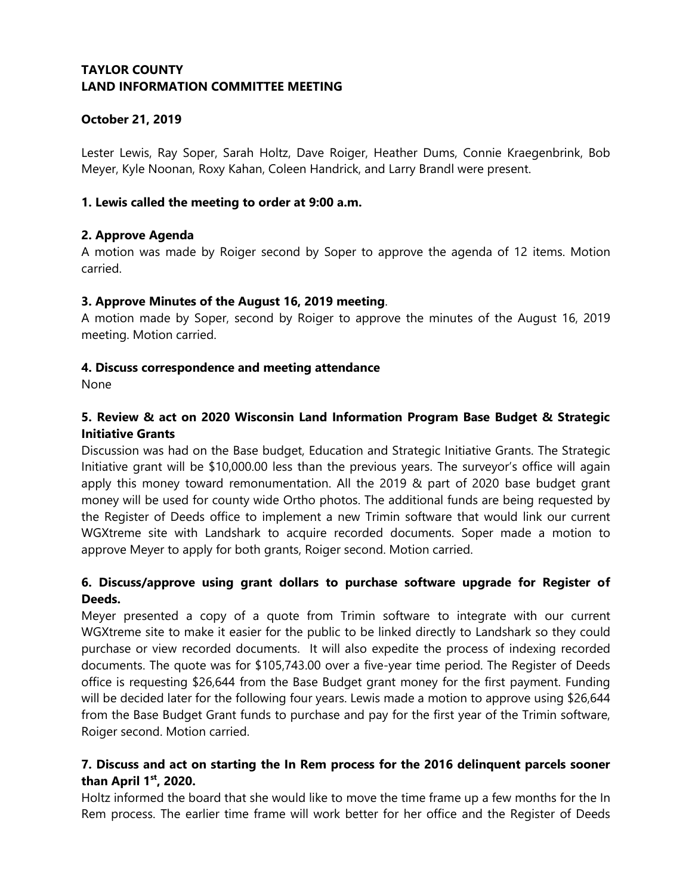# **October 21, 2019**

Lester Lewis, Ray Soper, Sarah Holtz, Dave Roiger, Heather Dums, Connie Kraegenbrink, Bob Meyer, Kyle Noonan, Roxy Kahan, Coleen Handrick, and Larry Brandl were present.

## **1. Lewis called the meeting to order at 9:00 a.m.**

## **2. Approve Agenda**

A motion was made by Roiger second by Soper to approve the agenda of 12 items. Motion carried.

## **3. Approve Minutes of the August 16, 2019 meeting**.

A motion made by Soper, second by Roiger to approve the minutes of the August 16, 2019 meeting. Motion carried.

## **4. Discuss correspondence and meeting attendance**

None

# **5. Review & act on 2020 Wisconsin Land Information Program Base Budget & Strategic Initiative Grants**

Discussion was had on the Base budget, Education and Strategic Initiative Grants. The Strategic Initiative grant will be \$10,000.00 less than the previous years. The surveyor's office will again apply this money toward remonumentation. All the 2019 & part of 2020 base budget grant money will be used for county wide Ortho photos. The additional funds are being requested by the Register of Deeds office to implement a new Trimin software that would link our current WGXtreme site with Landshark to acquire recorded documents. Soper made a motion to approve Meyer to apply for both grants, Roiger second. Motion carried.

# **6. Discuss/approve using grant dollars to purchase software upgrade for Register of Deeds.**

Meyer presented a copy of a quote from Trimin software to integrate with our current WGXtreme site to make it easier for the public to be linked directly to Landshark so they could purchase or view recorded documents. It will also expedite the process of indexing recorded documents. The quote was for \$105,743.00 over a five-year time period. The Register of Deeds office is requesting \$26,644 from the Base Budget grant money for the first payment. Funding will be decided later for the following four years. Lewis made a motion to approve using \$26,644 from the Base Budget Grant funds to purchase and pay for the first year of the Trimin software, Roiger second. Motion carried.

# **7. Discuss and act on starting the In Rem process for the 2016 delinquent parcels sooner than April 1st, 2020.**

Holtz informed the board that she would like to move the time frame up a few months for the In Rem process. The earlier time frame will work better for her office and the Register of Deeds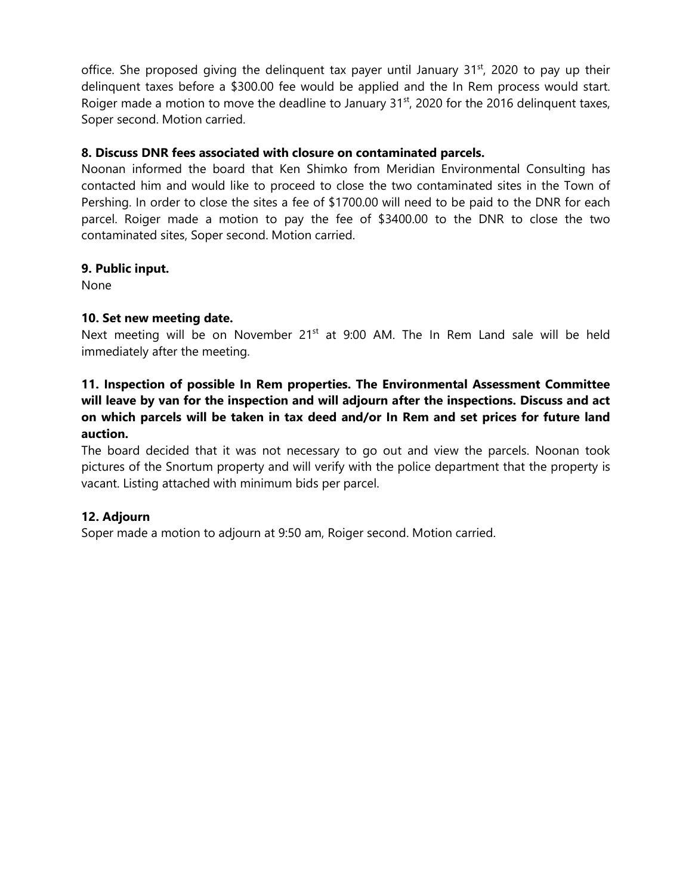office. She proposed giving the delinguent tax payer until January  $31<sup>st</sup>$ , 2020 to pay up their delinquent taxes before a \$300.00 fee would be applied and the In Rem process would start. Roiger made a motion to move the deadline to January  $31<sup>st</sup>$ , 2020 for the 2016 delinquent taxes, Soper second. Motion carried.

## **8. Discuss DNR fees associated with closure on contaminated parcels.**

Noonan informed the board that Ken Shimko from Meridian Environmental Consulting has contacted him and would like to proceed to close the two contaminated sites in the Town of Pershing. In order to close the sites a fee of \$1700.00 will need to be paid to the DNR for each parcel. Roiger made a motion to pay the fee of \$3400.00 to the DNR to close the two contaminated sites, Soper second. Motion carried.

## **9. Public input.**

None

## **10. Set new meeting date.**

Next meeting will be on November 21<sup>st</sup> at 9:00 AM. The In Rem Land sale will be held immediately after the meeting.

# **11. Inspection of possible In Rem properties. The Environmental Assessment Committee will leave by van for the inspection and will adjourn after the inspections. Discuss and act on which parcels will be taken in tax deed and/or In Rem and set prices for future land auction.**

The board decided that it was not necessary to go out and view the parcels. Noonan took pictures of the Snortum property and will verify with the police department that the property is vacant. Listing attached with minimum bids per parcel.

## **12. Adjourn**

Soper made a motion to adjourn at 9:50 am, Roiger second. Motion carried.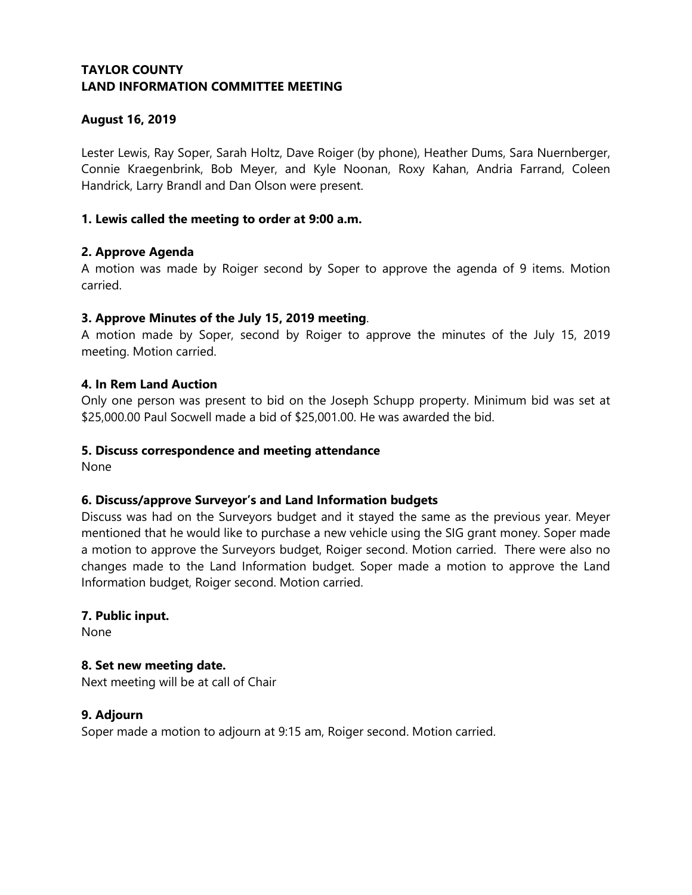## **August 16, 2019**

Lester Lewis, Ray Soper, Sarah Holtz, Dave Roiger (by phone), Heather Dums, Sara Nuernberger, Connie Kraegenbrink, Bob Meyer, and Kyle Noonan, Roxy Kahan, Andria Farrand, Coleen Handrick, Larry Brandl and Dan Olson were present.

## **1. Lewis called the meeting to order at 9:00 a.m.**

#### **2. Approve Agenda**

A motion was made by Roiger second by Soper to approve the agenda of 9 items. Motion carried.

#### **3. Approve Minutes of the July 15, 2019 meeting**.

A motion made by Soper, second by Roiger to approve the minutes of the July 15, 2019 meeting. Motion carried.

#### **4. In Rem Land Auction**

Only one person was present to bid on the Joseph Schupp property. Minimum bid was set at \$25,000.00 Paul Socwell made a bid of \$25,001.00. He was awarded the bid.

#### **5. Discuss correspondence and meeting attendance**

None

## **6. Discuss/approve Surveyor's and Land Information budgets**

Discuss was had on the Surveyors budget and it stayed the same as the previous year. Meyer mentioned that he would like to purchase a new vehicle using the SIG grant money. Soper made a motion to approve the Surveyors budget, Roiger second. Motion carried. There were also no changes made to the Land Information budget. Soper made a motion to approve the Land Information budget, Roiger second. Motion carried.

#### **7. Public input.**

None

## **8. Set new meeting date.**

Next meeting will be at call of Chair

#### **9. Adjourn**

Soper made a motion to adjourn at 9:15 am, Roiger second. Motion carried.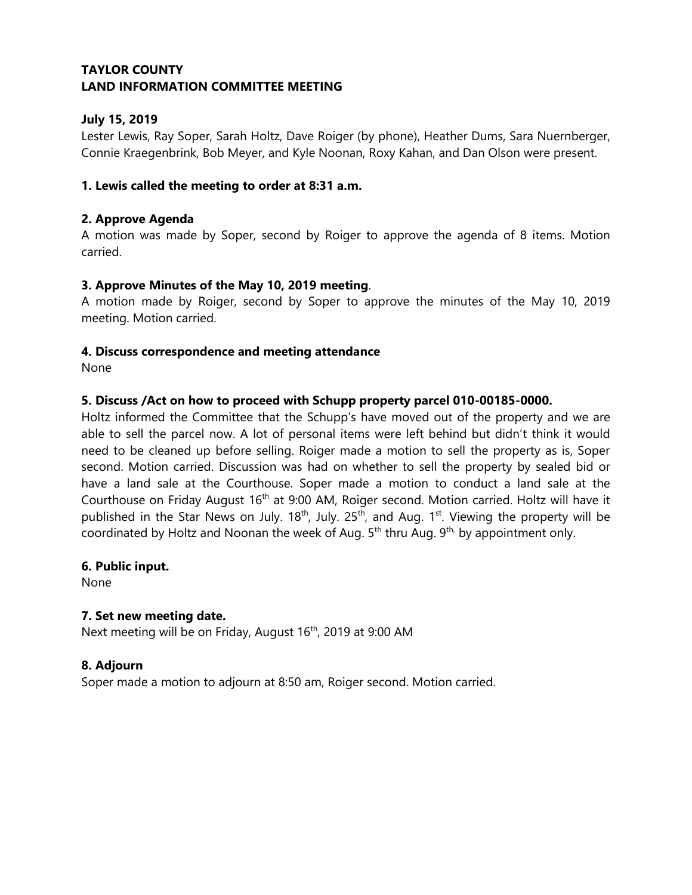# **July 15, 2019**

Lester Lewis, Ray Soper, Sarah Holtz, Dave Roiger (by phone), Heather Dums, Sara Nuernberger, Connie Kraegenbrink, Bob Meyer, and Kyle Noonan, Roxy Kahan, and Dan Olson were present.

## **1. Lewis called the meeting to order at 8:31 a.m.**

#### **2. Approve Agenda**

A motion was made by Soper, second by Roiger to approve the agenda of 8 items. Motion carried.

#### **3. Approve Minutes of the May 10, 2019 meeting**.

A motion made by Roiger, second by Soper to approve the minutes of the May 10, 2019 meeting. Motion carried.

#### **4. Discuss correspondence and meeting attendance**

None

#### **5. Discuss /Act on how to proceed with Schupp property parcel 010-00185-0000.**

Holtz informed the Committee that the Schupp's have moved out of the property and we are able to sell the parcel now. A lot of personal items were left behind but didn't think it would need to be cleaned up before selling. Roiger made a motion to sell the property as is, Soper second. Motion carried. Discussion was had on whether to sell the property by sealed bid or have a land sale at the Courthouse. Soper made a motion to conduct a land sale at the Courthouse on Friday August 16<sup>th</sup> at 9:00 AM, Roiger second. Motion carried. Holtz will have it published in the Star News on July.  $18^{th}$ , July.  $25^{th}$ , and Aug.  $1^{st}$ . Viewing the property will be coordinated by Holtz and Noonan the week of Aug.  $5<sup>th</sup>$  thru Aug.  $9<sup>th</sup>$ , by appointment only.

#### **6. Public input.**

None

## **7. Set new meeting date.**

Next meeting will be on Friday, August 16<sup>th</sup>, 2019 at 9:00 AM

## **8. Adjourn**

Soper made a motion to adjourn at 8:50 am, Roiger second. Motion carried.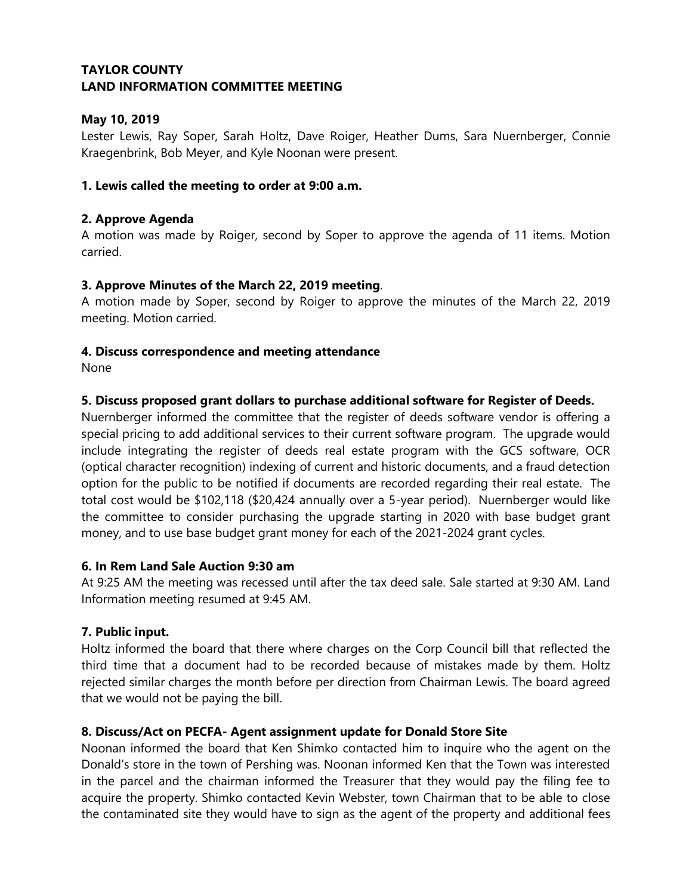# **May 10, 2019**

Lester Lewis, Ray Soper, Sarah Holtz, Dave Roiger, Heather Dums, Sara Nuernberger, Connie Kraegenbrink, Bob Meyer, and Kyle Noonan were present.

## **1. Lewis called the meeting to order at 9:00 a.m.**

## **2. Approve Agenda**

A motion was made by Roiger, second by Soper to approve the agenda of 11 items. Motion carried.

## **3. Approve Minutes of the March 22, 2019 meeting**.

A motion made by Soper, second by Roiger to approve the minutes of the March 22, 2019 meeting. Motion carried.

## **4. Discuss correspondence and meeting attendance**

None

## **5. Discuss proposed grant dollars to purchase additional software for Register of Deeds.**

Nuernberger informed the committee that the register of deeds software vendor is offering a special pricing to add additional services to their current software program. The upgrade would include integrating the register of deeds real estate program with the GCS software, OCR (optical character recognition) indexing of current and historic documents, and a fraud detection option for the public to be notified if documents are recorded regarding their real estate. The total cost would be \$102,118 (\$20,424 annually over a 5-year period). Nuernberger would like the committee to consider purchasing the upgrade starting in 2020 with base budget grant money, and to use base budget grant money for each of the 2021-2024 grant cycles.

## **6. In Rem Land Sale Auction 9:30 am**

At 9:25 AM the meeting was recessed until after the tax deed sale. Sale started at 9:30 AM. Land Information meeting resumed at 9:45 AM.

## **7. Public input.**

Holtz informed the board that there where charges on the Corp Council bill that reflected the third time that a document had to be recorded because of mistakes made by them. Holtz rejected similar charges the month before per direction from Chairman Lewis. The board agreed that we would not be paying the bill.

## **8. Discuss/Act on PECFA- Agent assignment update for Donald Store Site**

Noonan informed the board that Ken Shimko contacted him to inquire who the agent on the Donald's store in the town of Pershing was. Noonan informed Ken that the Town was interested in the parcel and the chairman informed the Treasurer that they would pay the filing fee to acquire the property. Shimko contacted Kevin Webster, town Chairman that to be able to close the contaminated site they would have to sign as the agent of the property and additional fees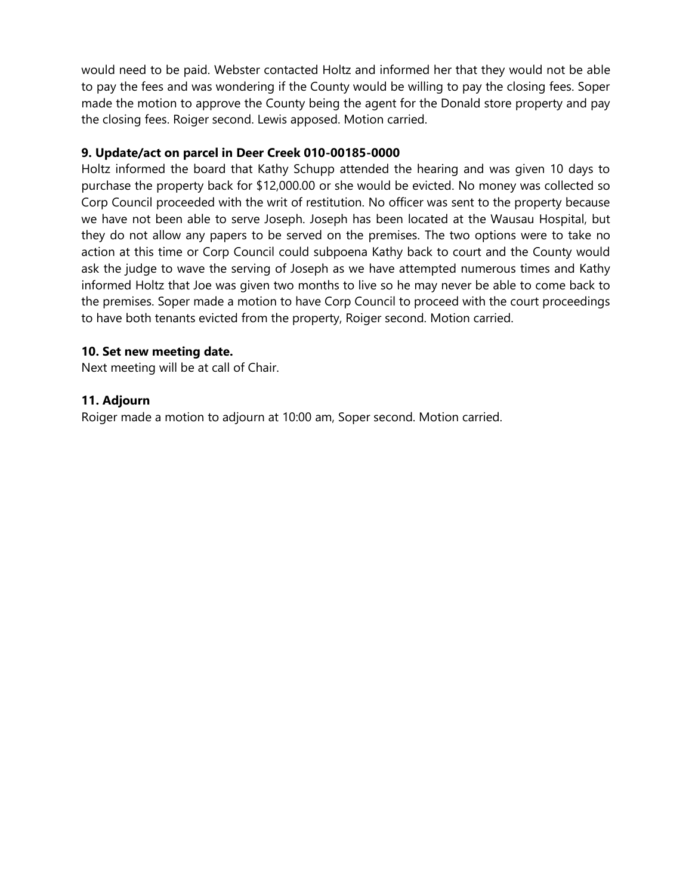would need to be paid. Webster contacted Holtz and informed her that they would not be able to pay the fees and was wondering if the County would be willing to pay the closing fees. Soper made the motion to approve the County being the agent for the Donald store property and pay the closing fees. Roiger second. Lewis apposed. Motion carried.

## **9. Update/act on parcel in Deer Creek 010-00185-0000**

Holtz informed the board that Kathy Schupp attended the hearing and was given 10 days to purchase the property back for \$12,000.00 or she would be evicted. No money was collected so Corp Council proceeded with the writ of restitution. No officer was sent to the property because we have not been able to serve Joseph. Joseph has been located at the Wausau Hospital, but they do not allow any papers to be served on the premises. The two options were to take no action at this time or Corp Council could subpoena Kathy back to court and the County would ask the judge to wave the serving of Joseph as we have attempted numerous times and Kathy informed Holtz that Joe was given two months to live so he may never be able to come back to the premises. Soper made a motion to have Corp Council to proceed with the court proceedings to have both tenants evicted from the property, Roiger second. Motion carried.

## **10. Set new meeting date.**

Next meeting will be at call of Chair.

## **11. Adjourn**

Roiger made a motion to adjourn at 10:00 am, Soper second. Motion carried.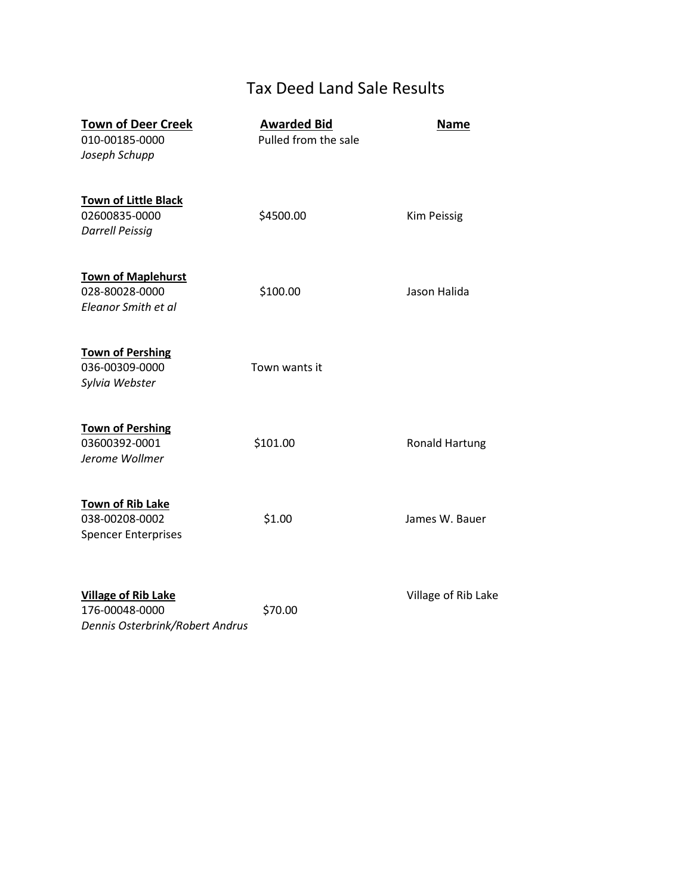# Tax Deed Land Sale Results

| <b>Town of Deer Creek</b><br>010-00185-0000<br>Joseph Schupp                    | <b>Awarded Bid</b><br>Pulled from the sale | <b>Name</b>           |
|---------------------------------------------------------------------------------|--------------------------------------------|-----------------------|
| <b>Town of Little Black</b><br>02600835-0000<br><b>Darrell Peissig</b>          | \$4500.00                                  | <b>Kim Peissig</b>    |
| <b>Town of Maplehurst</b><br>028-80028-0000<br>Eleanor Smith et al              | \$100.00                                   | Jason Halida          |
| <b>Town of Pershing</b><br>036-00309-0000<br>Sylvia Webster                     | Town wants it                              |                       |
| <b>Town of Pershing</b><br>03600392-0001<br>Jerome Wollmer                      | \$101.00                                   | <b>Ronald Hartung</b> |
| <b>Town of Rib Lake</b><br>038-00208-0002<br><b>Spencer Enterprises</b>         | \$1.00                                     | James W. Bauer        |
| <b>Village of Rib Lake</b><br>176-00048-0000<br>Dennis Osterbrink/Robert Andrus | \$70.00                                    | Village of Rib Lake   |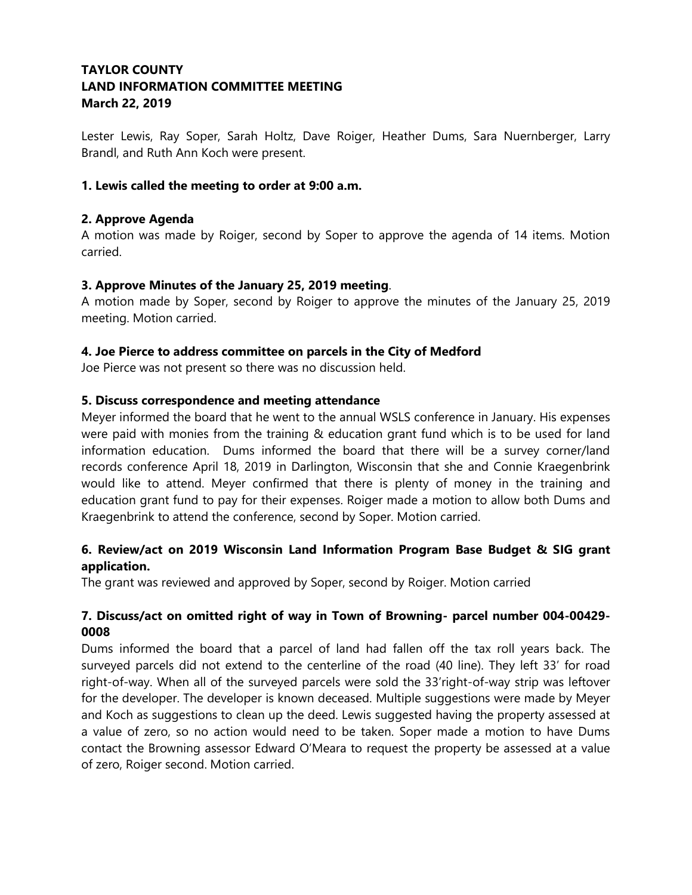Lester Lewis, Ray Soper, Sarah Holtz, Dave Roiger, Heather Dums, Sara Nuernberger, Larry Brandl, and Ruth Ann Koch were present.

## **1. Lewis called the meeting to order at 9:00 a.m.**

## **2. Approve Agenda**

A motion was made by Roiger, second by Soper to approve the agenda of 14 items. Motion carried.

## **3. Approve Minutes of the January 25, 2019 meeting**.

A motion made by Soper, second by Roiger to approve the minutes of the January 25, 2019 meeting. Motion carried.

## **4. Joe Pierce to address committee on parcels in the City of Medford**

Joe Pierce was not present so there was no discussion held.

## **5. Discuss correspondence and meeting attendance**

Meyer informed the board that he went to the annual WSLS conference in January. His expenses were paid with monies from the training & education grant fund which is to be used for land information education. Dums informed the board that there will be a survey corner/land records conference April 18, 2019 in Darlington, Wisconsin that she and Connie Kraegenbrink would like to attend. Meyer confirmed that there is plenty of money in the training and education grant fund to pay for their expenses. Roiger made a motion to allow both Dums and Kraegenbrink to attend the conference, second by Soper. Motion carried.

# **6. Review/act on 2019 Wisconsin Land Information Program Base Budget & SIG grant application.**

The grant was reviewed and approved by Soper, second by Roiger. Motion carried

# **7. Discuss/act on omitted right of way in Town of Browning- parcel number 004-00429- 0008**

Dums informed the board that a parcel of land had fallen off the tax roll years back. The surveyed parcels did not extend to the centerline of the road (40 line). They left 33' for road right-of-way. When all of the surveyed parcels were sold the 33'right-of-way strip was leftover for the developer. The developer is known deceased. Multiple suggestions were made by Meyer and Koch as suggestions to clean up the deed. Lewis suggested having the property assessed at a value of zero, so no action would need to be taken. Soper made a motion to have Dums contact the Browning assessor Edward O'Meara to request the property be assessed at a value of zero, Roiger second. Motion carried.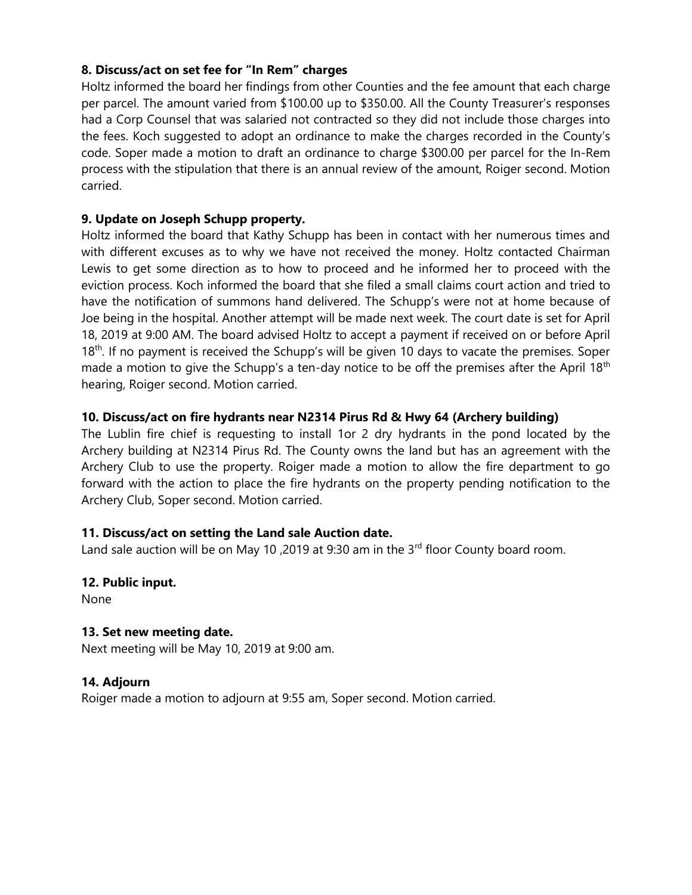## **8. Discuss/act on set fee for "In Rem" charges**

Holtz informed the board her findings from other Counties and the fee amount that each charge per parcel. The amount varied from \$100.00 up to \$350.00. All the County Treasurer's responses had a Corp Counsel that was salaried not contracted so they did not include those charges into the fees. Koch suggested to adopt an ordinance to make the charges recorded in the County's code. Soper made a motion to draft an ordinance to charge \$300.00 per parcel for the In-Rem process with the stipulation that there is an annual review of the amount, Roiger second. Motion carried.

## **9. Update on Joseph Schupp property.**

Holtz informed the board that Kathy Schupp has been in contact with her numerous times and with different excuses as to why we have not received the money. Holtz contacted Chairman Lewis to get some direction as to how to proceed and he informed her to proceed with the eviction process. Koch informed the board that she filed a small claims court action and tried to have the notification of summons hand delivered. The Schupp's were not at home because of Joe being in the hospital. Another attempt will be made next week. The court date is set for April 18, 2019 at 9:00 AM. The board advised Holtz to accept a payment if received on or before April 18<sup>th</sup>. If no payment is received the Schupp's will be given 10 days to vacate the premises. Soper made a motion to give the Schupp's a ten-day notice to be off the premises after the April 18<sup>th</sup> hearing, Roiger second. Motion carried.

## **10. Discuss/act on fire hydrants near N2314 Pirus Rd & Hwy 64 (Archery building)**

The Lublin fire chief is requesting to install 1or 2 dry hydrants in the pond located by the Archery building at N2314 Pirus Rd. The County owns the land but has an agreement with the Archery Club to use the property. Roiger made a motion to allow the fire department to go forward with the action to place the fire hydrants on the property pending notification to the Archery Club, Soper second. Motion carried.

## **11. Discuss/act on setting the Land sale Auction date.**

Land sale auction will be on May 10, 2019 at 9:30 am in the  $3<sup>rd</sup>$  floor County board room.

## **12. Public input.**

None

## **13. Set new meeting date.**

Next meeting will be May 10, 2019 at 9:00 am.

## **14. Adjourn**

Roiger made a motion to adjourn at 9:55 am, Soper second. Motion carried.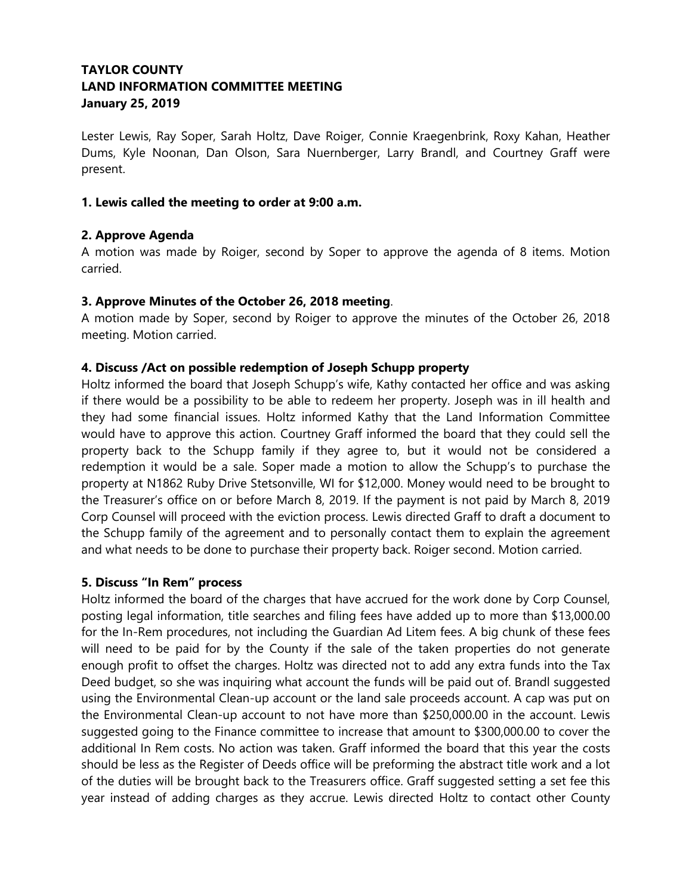# **TAYLOR COUNTY LAND INFORMATION COMMITTEE MEETING January 25, 2019**

Lester Lewis, Ray Soper, Sarah Holtz, Dave Roiger, Connie Kraegenbrink, Roxy Kahan, Heather Dums, Kyle Noonan, Dan Olson, Sara Nuernberger, Larry Brandl, and Courtney Graff were present.

## **1. Lewis called the meeting to order at 9:00 a.m.**

## **2. Approve Agenda**

A motion was made by Roiger, second by Soper to approve the agenda of 8 items. Motion carried.

#### **3. Approve Minutes of the October 26, 2018 meeting**.

A motion made by Soper, second by Roiger to approve the minutes of the October 26, 2018 meeting. Motion carried.

#### **4. Discuss /Act on possible redemption of Joseph Schupp property**

Holtz informed the board that Joseph Schupp's wife, Kathy contacted her office and was asking if there would be a possibility to be able to redeem her property. Joseph was in ill health and they had some financial issues. Holtz informed Kathy that the Land Information Committee would have to approve this action. Courtney Graff informed the board that they could sell the property back to the Schupp family if they agree to, but it would not be considered a redemption it would be a sale. Soper made a motion to allow the Schupp's to purchase the property at N1862 Ruby Drive Stetsonville, WI for \$12,000. Money would need to be brought to the Treasurer's office on or before March 8, 2019. If the payment is not paid by March 8, 2019 Corp Counsel will proceed with the eviction process. Lewis directed Graff to draft a document to the Schupp family of the agreement and to personally contact them to explain the agreement and what needs to be done to purchase their property back. Roiger second. Motion carried.

#### **5. Discuss "In Rem" process**

Holtz informed the board of the charges that have accrued for the work done by Corp Counsel, posting legal information, title searches and filing fees have added up to more than \$13,000.00 for the In-Rem procedures, not including the Guardian Ad Litem fees. A big chunk of these fees will need to be paid for by the County if the sale of the taken properties do not generate enough profit to offset the charges. Holtz was directed not to add any extra funds into the Tax Deed budget, so she was inquiring what account the funds will be paid out of. Brandl suggested using the Environmental Clean-up account or the land sale proceeds account. A cap was put on the Environmental Clean-up account to not have more than \$250,000.00 in the account. Lewis suggested going to the Finance committee to increase that amount to \$300,000.00 to cover the additional In Rem costs. No action was taken. Graff informed the board that this year the costs should be less as the Register of Deeds office will be preforming the abstract title work and a lot of the duties will be brought back to the Treasurers office. Graff suggested setting a set fee this year instead of adding charges as they accrue. Lewis directed Holtz to contact other County